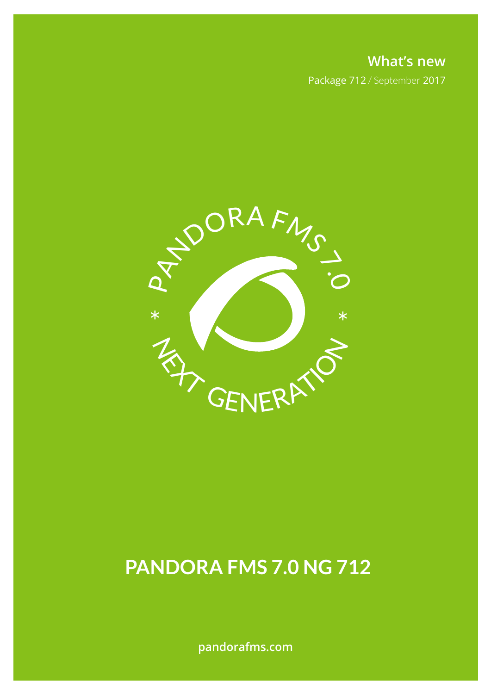**What's new** Package 712 / September 2017



# **PANDORA FMS 7.0 NG 712**

**pandorafms.com**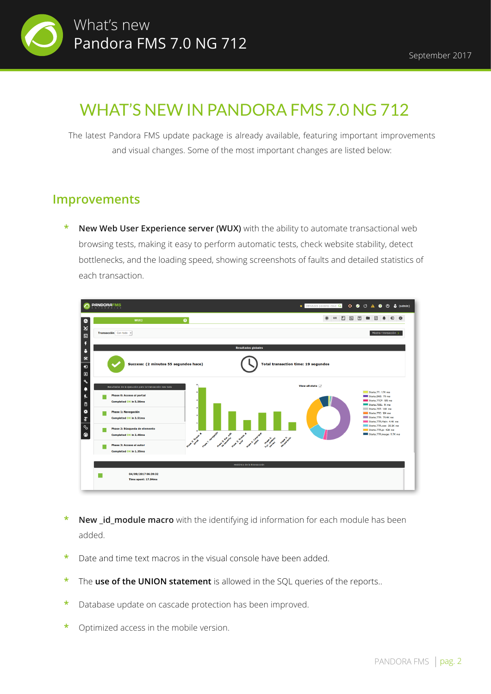

## WHAT'S NEW IN PANDORA FMS 7.0 NG 712

The latest Pandora FMS update package is already available, featuring important improvements and visual changes. Some of the most important changes are listed below:

#### **Improvements**

**New Web User Experience server (WUX)** with the ability to automate transactional web browsing tests, making it easy to perform automatic tests, check website stability, detect bottlenecks, and the loading speed, showing screenshots of faults and detailed statistics of each transaction.



- **New id module macro** with the identifying id information for each module has been added.
- **\*** Date and time text macros in the visual console have been added.
- **\*** The **use of the UNION statement** is allowed in the SQL queries of the reports..
- **\*** Database update on cascade protection has been improved.
- **\*** Optimized access in the mobile version.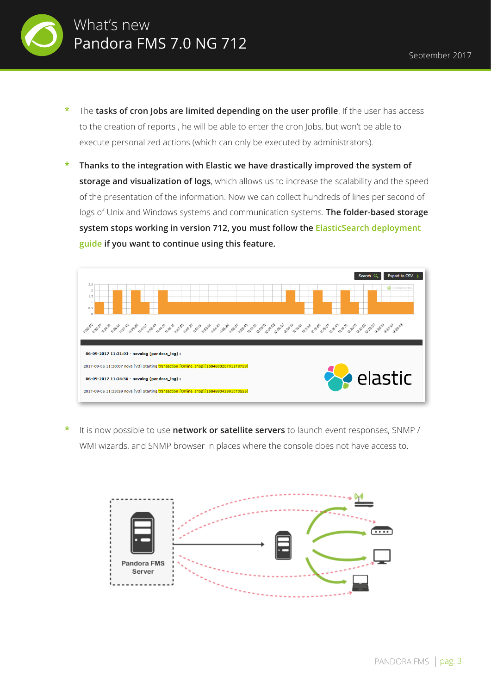

- **\*** The **tasks of cron Jobs are limited depending on the user profile**. If the user has access to the creation of reports , he will be able to enter the cron Jobs, but won't be able to execute personalized actions (which can only be executed by administrators).
- **\* Thanks to the integration with Elastic we have drastically improved the system of storage and visualization of logs**, which allows us to increase the scalability and the speed of the presentation of the information. Now we can collect hundreds of lines per second of logs of Unix and Windows systems and communication systems. **The folder-based storage system stops working in version 712, you must follow the ElasticSearch deployment guide if you want to continue using this feature.**



**\*** It is now possible to use **network or satellite servers** to launch event responses, SNMP / WMI wizards, and SNMP browser in places where the console does not have access to.

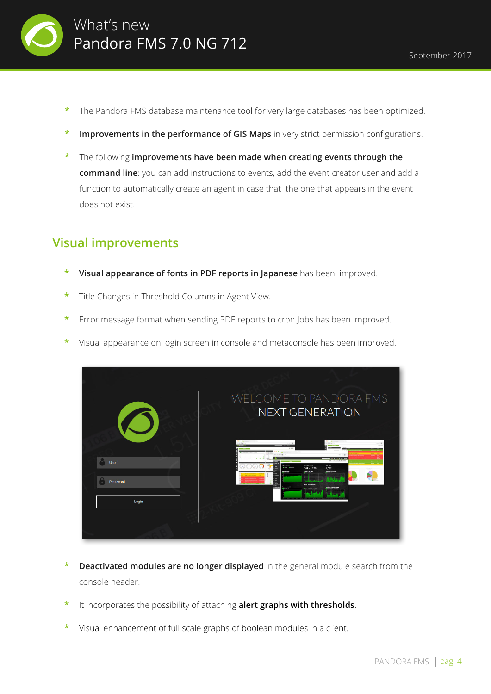

- **\*** The Pandora FMS database maintenance tool for very large databases has been optimized.
- **Improvements in the performance of GIS Maps** in very strict permission configurations.
- **\*** The following **improvements have been made when creating events through the command line**: you can add instructions to events, add the event creator user and add a function to automatically create an agent in case that the one that appears in the event does not exist.

#### **Visual improvements**

- **\* Visual appearance of fonts in PDF reports in Japanese** has been improved.
- **\*** Title Changes in Threshold Columns in Agent View.
- **\*** Error message format when sending PDF reports to cron Jobs has been improved.
- **\*** Visual appearance on login screen in console and metaconsole has been improved.



- **Deactivated modules are no longer displayed** in the general module search from the console header.
- **\*** It incorporates the possibility of attaching **alert graphs with thresholds**.
- **\*** Visual enhancement of full scale graphs of boolean modules in a client.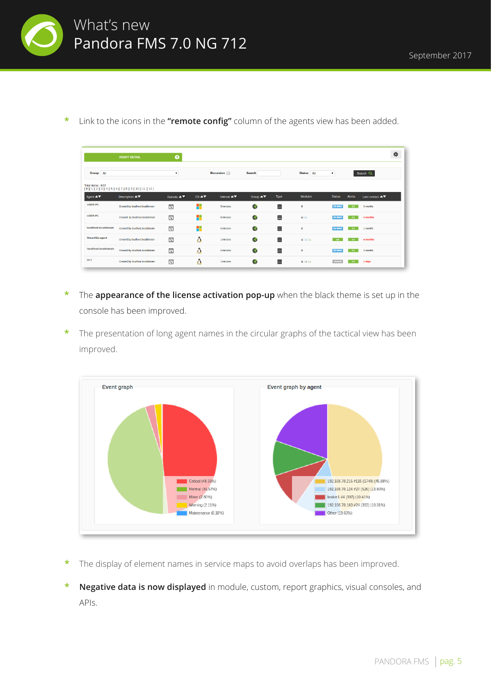

**\*** Link to the icons in the **"remote config"** column of the agents view has been added.

|                                           | <b>AGENT DETAIL</b>                             | $\bullet$                                  |                  |                                              |                                           |      |              |                    |        |                                                  | 眷 |
|-------------------------------------------|-------------------------------------------------|--------------------------------------------|------------------|----------------------------------------------|-------------------------------------------|------|--------------|--------------------|--------|--------------------------------------------------|---|
| Group All                                 |                                                 |                                            |                  | Recursion <b>D</b>                           | <b>Search</b>                             |      | Status All   | $\pmb{\mathrm{v}}$ |        | Search Q                                         |   |
| Total items: 622                          | $[0][1][2][3][4][5][6][7][8][9][10][11][12]$    |                                            |                  |                                              |                                           |      |              |                    |        |                                                  |   |
| Agent $\blacktriangle \blacktriangledown$ | Description $\blacktriangle \blacktriangledown$ | Remote $\blacktriangle \blacktriangledown$ | $OS \triangle V$ | Interval $\blacktriangle \blacktriangledown$ | Group $\blacktriangle \blacktriangledown$ | Type | Modules      | <b>Status</b>      | Alerts | Last contact $\blacktriangle \blacktriangledown$ |   |
| <b>USER-PC</b>                            | Created by localhost.localdomain                | 同                                          | ۰.               | 5 minutes                                    | Ó                                         | 을    | $\circ$      | <b>NO MON</b>      | OK     | 3 months                                         |   |
| <b>USER-PC</b>                            | Created by localhost.localdomain                | 同                                          | 4                | 5 minutes                                    | Ġ                                         | 言    | 0:1          | <b>NO MON</b>      | OK     | 4 months                                         |   |
| localhost.localdomain                     | Created by localhost.localdomain                | 因                                          | ٠                | 5 minutes                                    | $\bullet$                                 | Ξ    | $\mathbf{o}$ | <b>NO MON</b>      | OK     | 1 months                                         |   |
| Maranhão-agent                            | Created by localhost.localdomain                | 同                                          | Δ                | 1 minutes                                    | $\bullet$                                 | ۸    | 1:1:1        | $-0K$              | OK     | 4 months                                         |   |
| localhost.localdomain                     | Created by localhost.localdomain                | 同                                          | Δ                | 5 minutes                                    | G                                         | 을    | $\circ$      | <b>NO MON</b>      | OK     | 3 months                                         |   |
| OL7                                       | Created by localhost.localdomain                | 同                                          | Λ                | 1 minutes                                    | Ó                                         | 을    | 9:8:1        | UNKNW              | OK     | 1 days                                           |   |

- **\*** The **appearance of the license activation pop-up** when the black theme is set up in the console has been improved.
- **\*** The presentation of long agent names in the circular graphs of the tactical view has been improved.



- **\*** The display of element names in service maps to avoid overlaps has been improved.
- **\* Negative data is now displayed** in module, custom, report graphics, visual consoles, and APIs.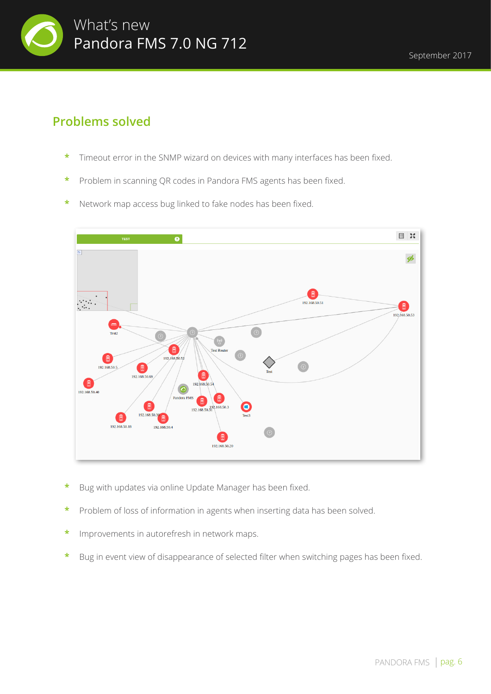

### **Problems solved**

- **\*** Timeout error in the SNMP wizard on devices with many interfaces has been fixed.
- **\*** Problem in scanning QR codes in Pandora FMS agents has been fixed.
- **\*** Network map access bug linked to fake nodes has been fixed.



- **\*** Bug with updates via online Update Manager has been fixed.
- **\*** Problem of loss of information in agents when inserting data has been solved.
- **\*** Improvements in autorefresh in network maps.
- **\*** Bug in event view of disappearance of selected filter when switching pages has been fixed.